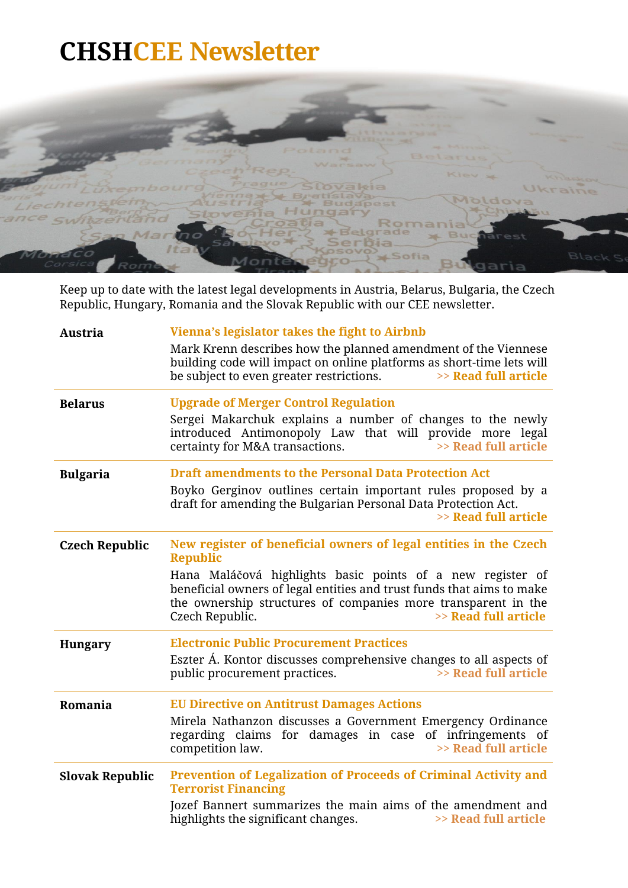

Keep up to date with the latest legal developments in Austria, Belarus, Bulgaria, the Czech Republic, Hungary, Romania and the Slovak Republic with our CEE newsletter.

| <b>Austria</b>         | Vienna's legislator takes the fight to Airbnb                                                                                                                                                                                                                                                                                          |
|------------------------|----------------------------------------------------------------------------------------------------------------------------------------------------------------------------------------------------------------------------------------------------------------------------------------------------------------------------------------|
|                        | Mark Krenn describes how the planned amendment of the Viennese<br>building code will impact on online platforms as short-time lets will<br>be subject to even greater restrictions.<br>>> Read full article                                                                                                                            |
| <b>Belarus</b>         | <b>Upgrade of Merger Control Regulation</b><br>Sergei Makarchuk explains a number of changes to the newly<br>introduced Antimonopoly Law that will provide more legal<br>>> Read full article<br>certainty for M&A transactions.                                                                                                       |
| <b>Bulgaria</b>        | <b>Draft amendments to the Personal Data Protection Act</b><br>Boyko Gerginov outlines certain important rules proposed by a<br>draft for amending the Bulgarian Personal Data Protection Act.<br>>> Read full article                                                                                                                 |
| <b>Czech Republic</b>  | New register of beneficial owners of legal entities in the Czech<br><b>Republic</b><br>Hana Maláčová highlights basic points of a new register of<br>beneficial owners of legal entities and trust funds that aims to make<br>the ownership structures of companies more transparent in the<br>>> Read full article<br>Czech Republic. |
| <b>Hungary</b>         | <b>Electronic Public Procurement Practices</b><br>Eszter Á. Kontor discusses comprehensive changes to all aspects of<br>>> Read full article<br>public procurement practices.                                                                                                                                                          |
| Romania                | <b>EU Directive on Antitrust Damages Actions</b><br>Mirela Nathanzon discusses a Government Emergency Ordinance<br>regarding claims for damages in case of infringements of<br>>> Read full article<br>competition law.                                                                                                                |
| <b>Slovak Republic</b> | Prevention of Legalization of Proceeds of Criminal Activity and<br><b>Terrorist Financing</b><br>Jozef Bannert summarizes the main aims of the amendment and<br>highlights the significant changes.<br>>> Read full article                                                                                                            |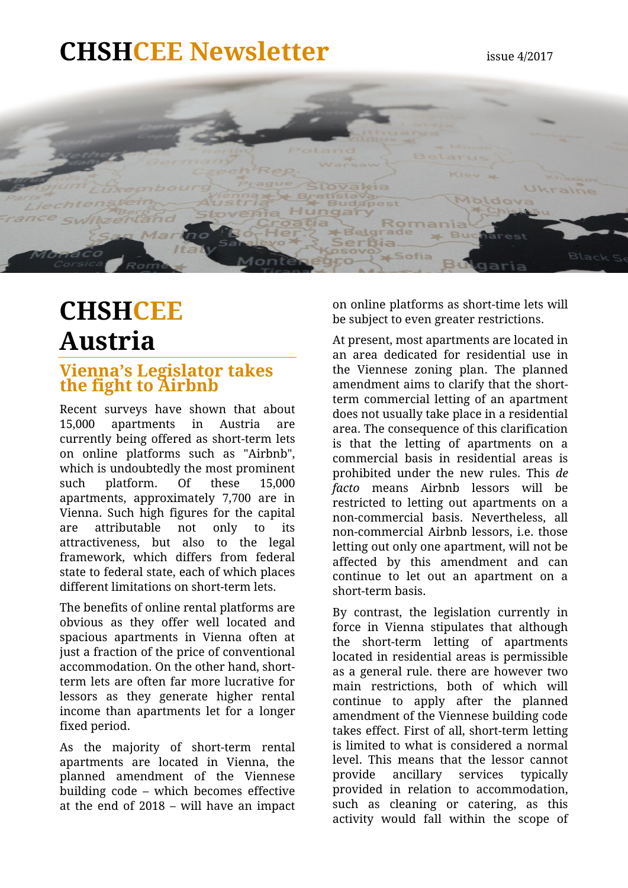### **CHSHCEE Newsletter** issue 4/2017



### <span id="page-1-0"></span>**CHSHCEE Austria**

### **Vienna's Legislator takes the fight to Airbnb**

Recent surveys have shown that about 15,000 apartments in Austria are currently being offered as short-term lets on online platforms such as "Airbnb", which is undoubtedly the most prominent such platform. Of these 15,000 apartments, approximately 7,700 are in Vienna. Such high figures for the capital are attributable not only to its attractiveness, but also to the legal framework, which differs from federal state to federal state, each of which places different limitations on short-term lets.

The benefits of online rental platforms are obvious as they offer well located and spacious apartments in Vienna often at just a fraction of the price of conventional accommodation. On the other hand, shortterm lets are often far more lucrative for lessors as they generate higher rental income than apartments let for a longer fixed period.

As the majority of short-term rental apartments are located in Vienna, the planned amendment of the Viennese building code – which becomes effective at the end of 2018 – will have an impact

on online platforms as short-time lets will be subject to even greater restrictions.

At present, most apartments are located in an area dedicated for residential use in the Viennese zoning plan. The planned amendment aims to clarify that the shortterm commercial letting of an apartment does not usually take place in a residential area. The consequence of this clarification is that the letting of apartments on a commercial basis in residential areas is prohibited under the new rules. This *de facto* means Airbnb lessors will be restricted to letting out apartments on a non-commercial basis. Nevertheless, all non-commercial Airbnb lessors, i.e. those letting out only one apartment, will not be affected by this amendment and can continue to let out an apartment on a short-term basis.

By contrast, the legislation currently in force in Vienna stipulates that although the short-term letting of apartments located in residential areas is permissible as a general rule. there are however two main restrictions, both of which will continue to apply after the planned amendment of the Viennese building code takes effect. First of all, short-term letting is limited to what is considered a normal level. This means that the lessor cannot provide ancillary services typically provided in relation to accommodation, such as cleaning or catering, as this activity would fall within the scope of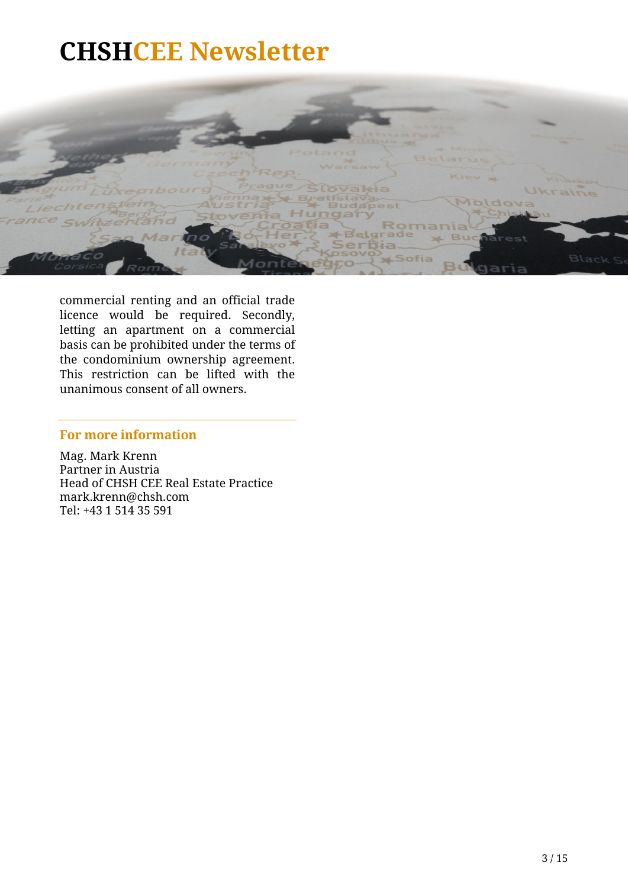

commercial renting and an official trade licence would be required. Secondly, letting an apartment on a commercial basis can be prohibited under the terms of the condominium ownership agreement. This restriction can be lifted with the unanimous consent of all owners.

### **For more information**

Mag. Mark Krenn Partner in Austria Head of CHSH CEE Real Estate Practice mark.krenn@chsh.com Tel: +43 1 514 35 591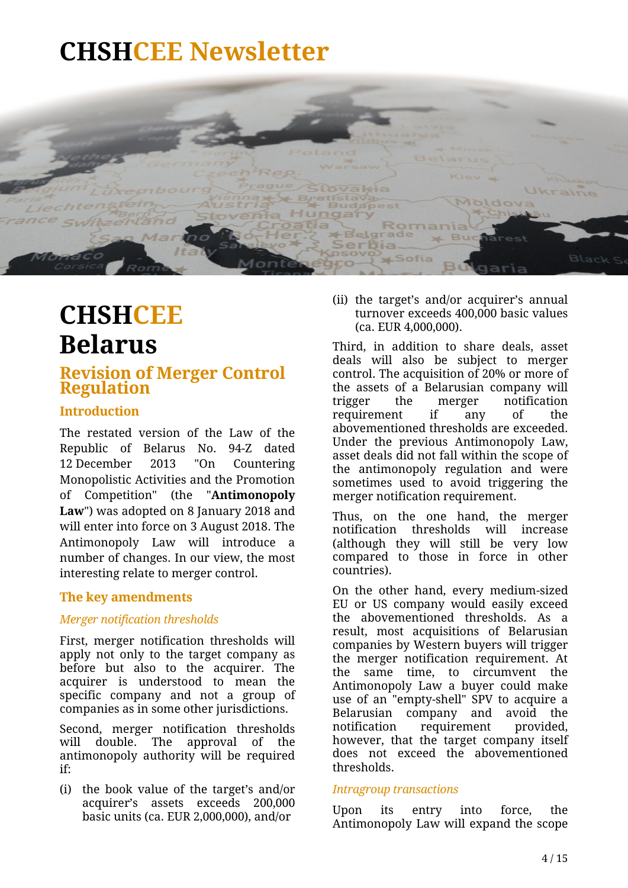

### <span id="page-3-0"></span>**CHSHCEE Belarus**

### **Revision of Merger Control Regulation**

### **Introduction**

The restated version of the Law of the Republic of Belarus No. 94-Z dated 12 December 2013 "On Countering Monopolistic Activities and the Promotion of Competition" (the "**Antimonopoly Law**") was adopted on 8 January 2018 and will enter into force on 3 August 2018. The Antimonopoly Law will introduce a number of changes. In our view, the most interesting relate to merger control.

### **The key amendments**

### *Merger notification thresholds*

First, merger notification thresholds will apply not only to the target company as before but also to the acquirer. The acquirer is understood to mean the specific company and not a group of companies as in some other jurisdictions.

Second, merger notification thresholds will double. The approval of the antimonopoly authority will be required if:

(i) the book value of the target's and/or acquirer's assets exceeds 200,000 basic units (ca. EUR 2,000,000), and/or

(ii) the target's and/or acquirer's annual turnover exceeds 400,000 basic values (ca. EUR 4,000,000).

Third, in addition to share deals, asset deals will also be subject to merger control. The acquisition of 20% or more of the assets of a Belarusian company will trigger the merger notification requirement if any of the abovementioned thresholds are exceeded. Under the previous Antimonopoly Law, asset deals did not fall within the scope of the antimonopoly regulation and were sometimes used to avoid triggering the merger notification requirement.

Thus, on the one hand, the merger notification thresholds will increase (although they will still be very low compared to those in force in other countries).

On the other hand, every medium-sized EU or US company would easily exceed the abovementioned thresholds. As a result, most acquisitions of Belarusian companies by Western buyers will trigger the merger notification requirement. At the same time, to circumvent the Antimonopoly Law a buyer could make use of an "empty-shell" SPV to acquire a Belarusian company and avoid the notification requirement provided, however, that the target company itself does not exceed the abovementioned thresholds.

#### *Intragroup transactions*

Upon its entry into force, the Antimonopoly Law will expand the scope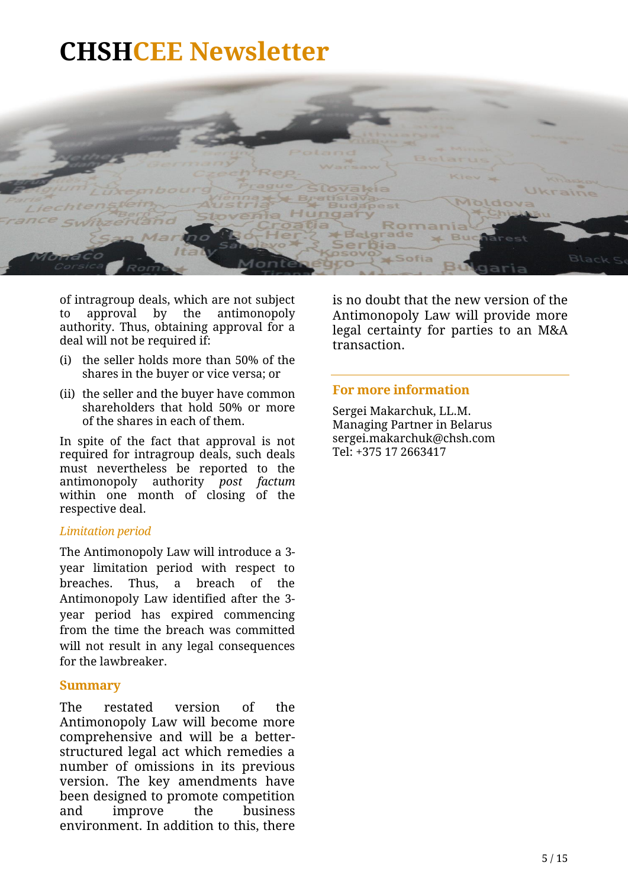

of intragroup deals, which are not subject to approval by the antimonopoly authority. Thus, obtaining approval for a deal will not be required if:

- (i) the seller holds more than 50% of the shares in the buyer or vice versa; or
- (ii) the seller and the buyer have common shareholders that hold 50% or more of the shares in each of them.

In spite of the fact that approval is not required for intragroup deals, such deals must nevertheless be reported to the antimonopoly authority *post factum* within one month of closing of the respective deal.

#### *Limitation period*

The Antimonopoly Law will introduce a 3 year limitation period with respect to breaches. Thus, a breach of the Antimonopoly Law identified after the 3 year period has expired commencing from the time the breach was committed will not result in any legal consequences for the lawbreaker.

#### **Summary**

The restated version of the Antimonopoly Law will become more comprehensive and will be a betterstructured legal act which remedies a number of omissions in its previous version. The key amendments have been designed to promote competition and improve the business environment. In addition to this, there

is no doubt that the new version of the Antimonopoly Law will provide more legal certainty for parties to an M&A transaction.

#### **For more information**

Sergei Makarchuk, LL.M. Managing Partner in Belarus sergei.makarchuk@chsh.com Tel: +375 17 2663417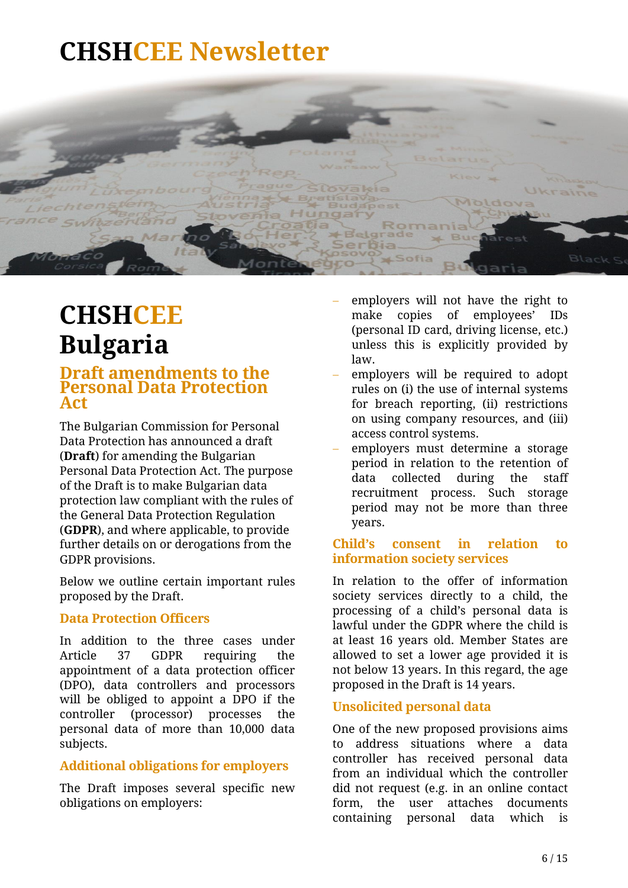

### **CHSHCEE Bulgaria**

### <span id="page-5-0"></span>**Draft amendments to the Personal Data Protection Act**

The Bulgarian Commission for Personal Data Protection has announced a draft (**Draft**) for amending the Bulgarian Personal Data Protection Act. The purpose of the Draft is to make Bulgarian data protection law compliant with the rules of the General Data Protection Regulation (**GDPR**), and where applicable, to provide further details on or derogations from the GDPR provisions.

Below we outline certain important rules proposed by the Draft.

### **Data Protection Officers**

In addition to the three cases under Article 37 GDPR requiring the appointment of a data protection officer (DPO), data controllers and processors will be obliged to appoint a DPO if the controller (processor) processes the personal data of more than 10,000 data subjects.

### **Additional obligations for employers**

The Draft imposes several specific new obligations on employers:

- employers will not have the right to make copies of employees' IDs (personal ID card, driving license, etc.) unless this is explicitly provided by law.
- employers will be required to adopt rules on (i) the use of internal systems for breach reporting, (ii) restrictions on using company resources, and (iii) access control systems.
- employers must determine a storage period in relation to the retention of data collected during the staff recruitment process. Such storage period may not be more than three years.

### **Child's consent in relation to information society services**

In relation to the offer of information society services directly to a child, the processing of a child's personal data is lawful under the GDPR where the child is at least 16 years old. Member States are allowed to set a lower age provided it is not below 13 years. In this regard, the age proposed in the Draft is 14 years.

### **Unsolicited personal data**

One of the new proposed provisions aims to address situations where a data controller has received personal data from an individual which the controller did not request (e.g. in an online contact form, the user attaches documents containing personal data which is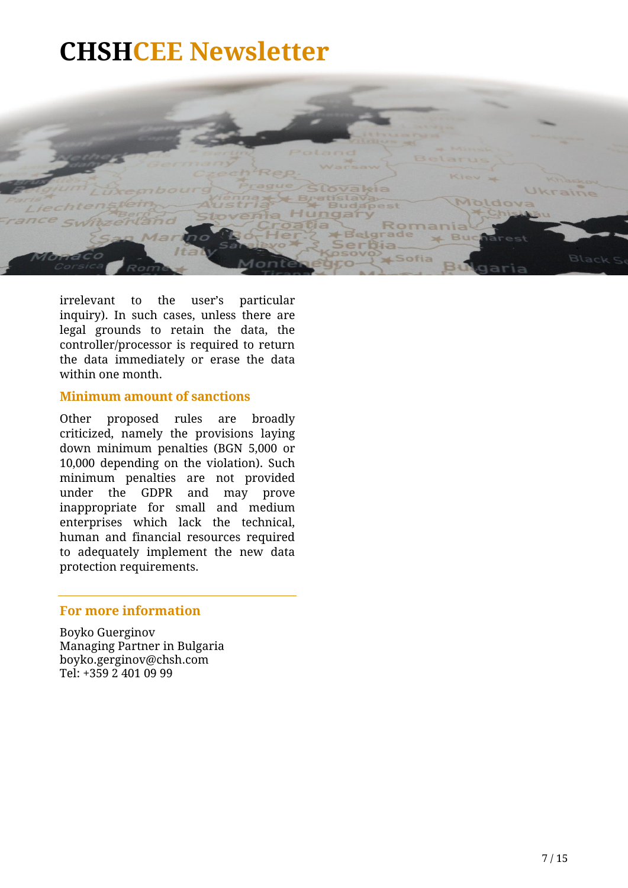

irrelevant to the user's particular inquiry). In such cases, unless there are legal grounds to retain the data, the controller/processor is required to return the data immediately or erase the data within one month.

#### **Minimum amount of sanctions**

Other proposed rules are broadly criticized, namely the provisions laying down minimum penalties (BGN 5,000 or 10,000 depending on the violation). Such minimum penalties are not provided under the GDPR and may prove inappropriate for small and medium enterprises which lack the technical, human and financial resources required to adequately implement the new data protection requirements.

#### **For more information**

Boyko Guerginov Managing Partner in Bulgaria boyko.gerginov@chsh.com Tel: +359 2 401 09 99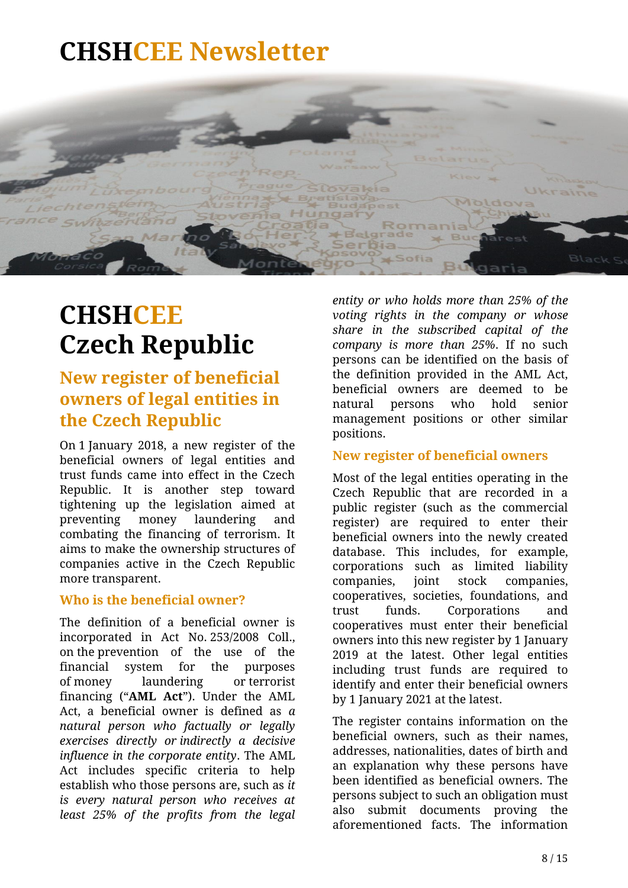

### <span id="page-7-0"></span>**CHSHCEE Czech Republic**

### **New register of beneficial owners of legal entities in the Czech Republic**

On 1 January 2018, a new register of the beneficial owners of legal entities and trust funds came into effect in the Czech Republic. It is another step toward tightening up the legislation aimed at preventing money laundering and combating the financing of terrorism. It aims to make the ownership structures of companies active in the Czech Republic more transparent.

### **Who is the beneficial owner?**

The definition of a beneficial owner is incorporated in Act No. 253/2008 Coll., on the prevention of the use of the financial system for the purposes of money laundering or terrorist financing ("**AML Act**"). Under the AML Act, a beneficial owner is defined as *a natural person who factually or legally exercises directly or indirectly a decisive influence in the corporate entity*. The AML Act includes specific criteria to help establish who those persons are, such as *it is every natural person who receives at least 25% of the profits from the legal* 

*entity or who holds more than 25% of the voting rights in the company or whose share in the subscribed capital of the company is more than 25%*. If no such persons can be identified on the basis of the definition provided in the AML Act, beneficial owners are deemed to be natural persons who hold senior management positions or other similar positions.

#### **New register of beneficial owners**

Most of the legal entities operating in the Czech Republic that are recorded in a public register (such as the commercial register) are required to enter their beneficial owners into the newly created database. This includes, for example, corporations such as limited liability companies, joint stock companies, cooperatives, societies, foundations, and trust funds. Corporations and cooperatives must enter their beneficial owners into this new register by 1 January 2019 at the latest. Other legal entities including trust funds are required to identify and enter their beneficial owners by 1 January 2021 at the latest.

The register contains information on the beneficial owners, such as their names, addresses, nationalities, dates of birth and an explanation why these persons have been identified as beneficial owners. The persons subject to such an obligation must also submit documents proving the aforementioned facts. The information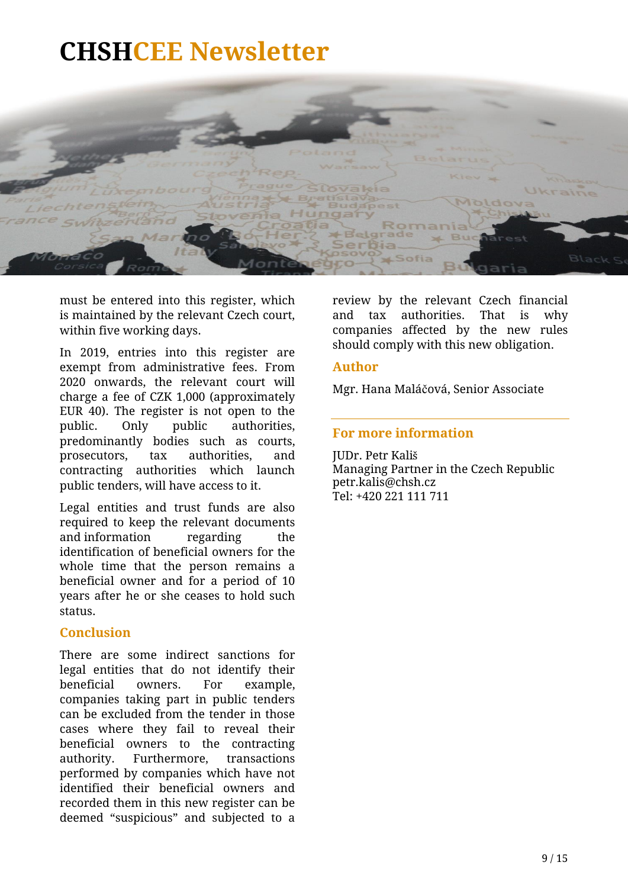

must be entered into this register, which is maintained by the relevant Czech court, within five working days.

In 2019, entries into this register are exempt from administrative fees. From 2020 onwards, the relevant court will charge a fee of CZK 1,000 (approximately EUR 40). The register is not open to the public. Only public authorities, predominantly bodies such as courts, prosecutors, tax authorities, and contracting authorities which launch public tenders, will have access to it.

Legal entities and trust funds are also required to keep the relevant documents and information regarding the identification of beneficial owners for the whole time that the person remains a beneficial owner and for a period of 10 years after he or she ceases to hold such status.

#### **Conclusion**

There are some indirect sanctions for legal entities that do not identify their beneficial owners. For example, companies taking part in public tenders can be excluded from the tender in those cases where they fail to reveal their beneficial owners to the contracting authority. Furthermore, transactions performed by companies which have not identified their beneficial owners and recorded them in this new register can be deemed "suspicious" and subjected to a

review by the relevant Czech financial and tax authorities. That is why companies affected by the new rules should comply with this new obligation.

#### **Author**

Mgr. Hana Maláčová, Senior Associate

### **For more information**

JUDr. Petr Kališ Managing Partner in the Czech Republic petr.kalis@chsh.cz Tel: +420 221 111 711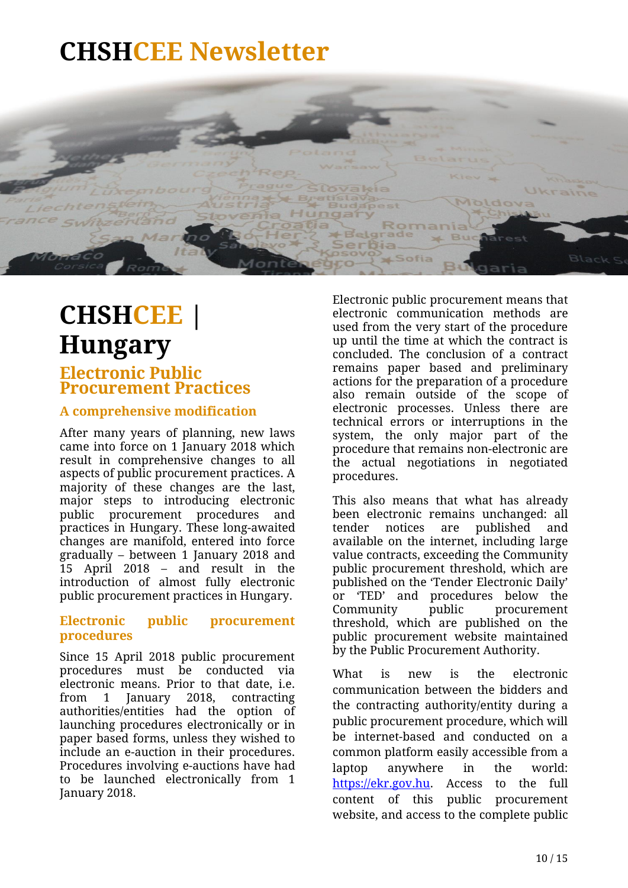

# <span id="page-9-0"></span>**CHSHCEE | Hungary**

### **Electronic Public Procurement Practices**

### **A comprehensive modification**

After many years of planning, new laws came into force on 1 January 2018 which result in comprehensive changes to all aspects of public procurement practices. A majority of these changes are the last, major steps to introducing electronic public procurement procedures and practices in Hungary. These long-awaited changes are manifold, entered into force gradually – between 1 January 2018 and 15 April 2018 – and result in the introduction of almost fully electronic public procurement practices in Hungary.

### **Electronic public procurement procedures**

Since 15 April 2018 public procurement procedures must be conducted via electronic means. Prior to that date, i.e. from 1 January 2018, contracting authorities/entities had the option of launching procedures electronically or in paper based forms, unless they wished to include an e-auction in their procedures. Procedures involving e-auctions have had to be launched electronically from 1 January 2018.

Electronic public procurement means that electronic communication methods are used from the very start of the procedure up until the time at which the contract is concluded. The conclusion of a contract remains paper based and preliminary actions for the preparation of a procedure also remain outside of the scope of electronic processes. Unless there are technical errors or interruptions in the system, the only major part of the procedure that remains non-electronic are the actual negotiations in negotiated procedures.

This also means that what has already been electronic remains unchanged: all tender notices are published and available on the internet, including large value contracts, exceeding the Community public procurement threshold, which are published on the 'Tender Electronic Daily' or 'TED' and procedures below the Community public procurement threshold, which are published on the public procurement website maintained by the Public Procurement Authority.

What is new is the electronic communication between the bidders and the contracting authority/entity during a public procurement procedure, which will be internet-based and conducted on a common platform easily accessible from a laptop anywhere in the world: https://ekr.gov.hu. Access to the full content of this public procurement website, and access to the complete public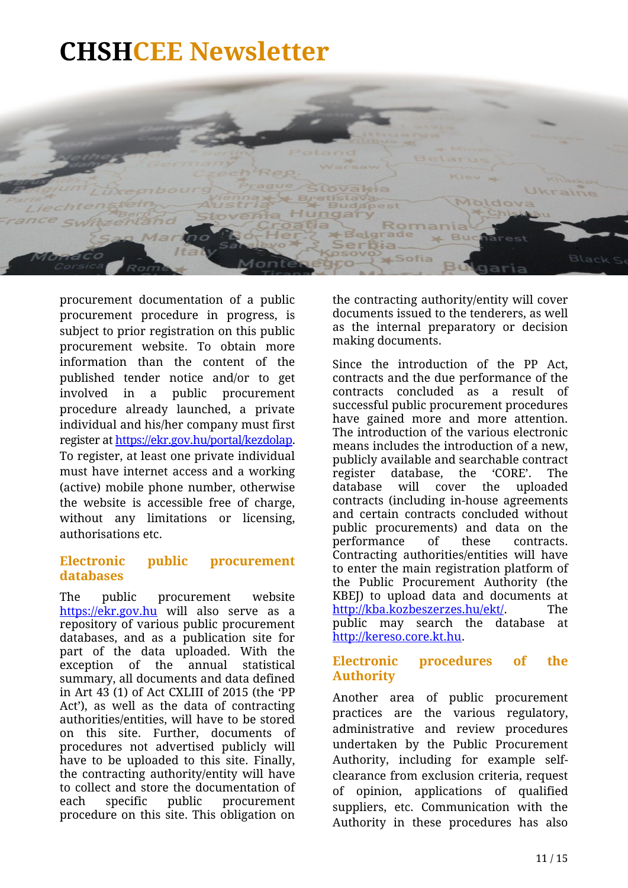

procurement documentation of a public procurement procedure in progress, is subject to prior registration on this public procurement website. To obtain more information than the content of the published tender notice and/or to get involved in a public procurement procedure already launched, a private individual and his/her company must first register a[t https://ekr.gov.hu/portal/kezdolap.](https://ekr.gov.hu/portal/kezdolap) To register, at least one private individual must have internet access and a working (active) mobile phone number, otherwise the website is accessible free of charge, without any limitations or licensing, authorisations etc.

### **Electronic public procurement databases**

The public procurement website https://ekr.gov.hu will also serve as a repository of various public procurement databases, and as a publication site for part of the data uploaded. With the exception of the annual statistical summary, all documents and data defined in Art 43 (1) of Act CXLIII of 2015 (the 'PP Act'), as well as the data of contracting authorities/entities, will have to be stored on this site. Further, documents of procedures not advertised publicly will have to be uploaded to this site. Finally, the contracting authority/entity will have to collect and store the documentation of each specific public procurement procedure on this site. This obligation on

the contracting authority/entity will cover documents issued to the tenderers, as well as the internal preparatory or decision making documents.

Since the introduction of the PP Act, contracts and the due performance of the contracts concluded as a result of successful public procurement procedures have gained more and more attention. The introduction of the various electronic means includes the introduction of a new, publicly available and searchable contract register database, the 'CORE'. The database will cover the uploaded contracts (including in-house agreements and certain contracts concluded without public procurements) and data on the performance of these contracts. Contracting authorities/entities will have to enter the main registration platform of the Public Procurement Authority (the KBEJ) to upload data and documents at [http://kba.kozbeszerzes.hu/ekt/.](http://kba.kozbeszerzes.hu/ekt/) The public may search the database at [http://kereso.core.kt.hu.](http://kereso.core.kt.hu/)

### **Electronic procedures of the Authority**

Another area of public procurement practices are the various regulatory, administrative and review procedures undertaken by the Public Procurement Authority, including for example selfclearance from exclusion criteria, request of opinion, applications of qualified suppliers, etc. Communication with the Authority in these procedures has also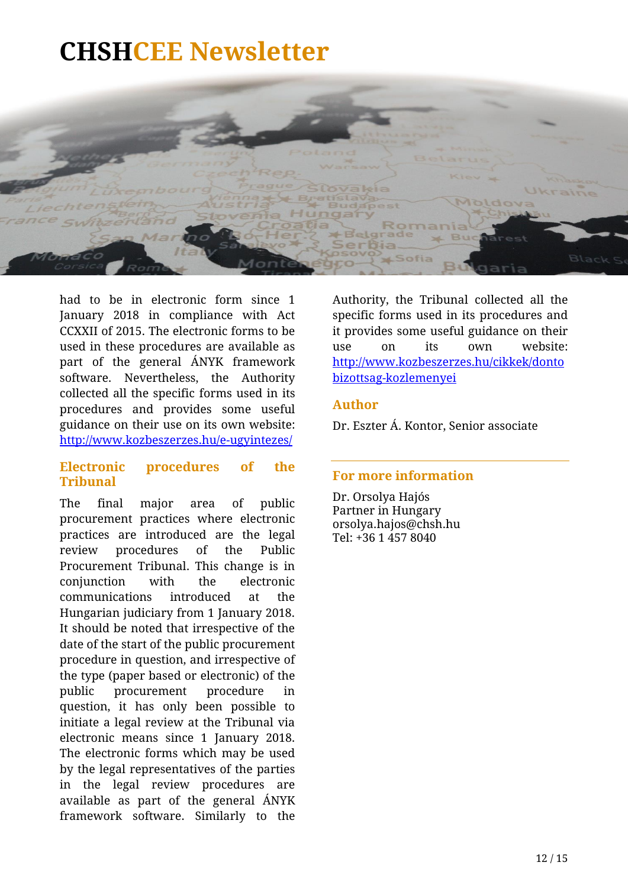

had to be in electronic form since 1 January 2018 in compliance with Act CCXXII of 2015. The electronic forms to be used in these procedures are available as part of the general ÁNYK framework software. Nevertheless, the Authority collected all the specific forms used in its procedures and provides some useful guidance on their use on its own website: http://www.kozbeszerzes.hu/e-ugyintezes/

#### **Electronic procedures of the Tribunal**

The final major area of public procurement practices where electronic practices are introduced are the legal review procedures of the Public Procurement Tribunal. This change is in conjunction with the electronic communications introduced at the Hungarian judiciary from 1 January 2018. It should be noted that irrespective of the date of the start of the public procurement procedure in question, and irrespective of the type (paper based or electronic) of the public procurement procedure in question, it has only been possible to initiate a legal review at the Tribunal via electronic means since 1 January 2018. The electronic forms which may be used by the legal representatives of the parties in the legal review procedures are available as part of the general ÁNYK framework software. Similarly to the

Authority, the Tribunal collected all the specific forms used in its procedures and it provides some useful guidance on their use on its own website: http://www.kozbeszerzes.hu/cikkek/donto bizottsag-kozlemenyei

#### **Author**

Dr. Eszter Á. Kontor, Senior associate

### **For more information**

Dr. Orsolya Hajós Partner in Hungary orsolya.hajo[s@chsh.hu](mailto:tamas.polauf@chsh.hu) Tel: +36 1 457 8040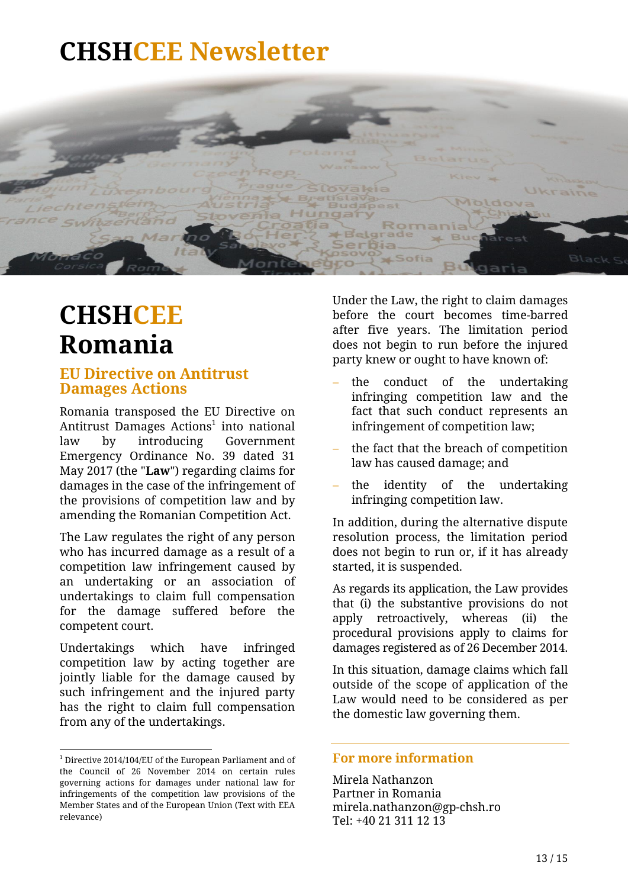

### <span id="page-12-0"></span>**CHSHCEE Romania**

### **EU Directive on Antitrust Damages Actions**

Romania transposed the EU Directive on Antitrust Damages Actions<sup>1</sup> into national law by introducing Government Emergency Ordinance No. 39 dated 31 May 2017 (the "**Law**") regarding claims for damages in the case of the infringement of the provisions of competition law and by amending the Romanian Competition Act.

The Law regulates the right of any person who has incurred damage as a result of a competition law infringement caused by an undertaking or an association of undertakings to claim full compensation for the damage suffered before the competent court.

Undertakings which have infringed competition law by acting together are jointly liable for the damage caused by such infringement and the injured party has the right to claim full compensation from any of the undertakings.

Under the Law, the right to claim damages before the court becomes time-barred after five years. The limitation period does not begin to run before the injured party knew or ought to have known of:

- the conduct of the undertaking infringing competition law and the fact that such conduct represents an infringement of competition law;
- the fact that the breach of competition law has caused damage; and
- the identity of the undertaking infringing competition law.

In addition, during the alternative dispute resolution process, the limitation period does not begin to run or, if it has already started, it is suspended.

As regards its application, the Law provides that (i) the substantive provisions do not apply retroactively, whereas (ii) the procedural provisions apply to claims for damages registered as of 26 December 2014.

In this situation, damage claims which fall outside of the scope of application of the Law would need to be considered as per the domestic law governing them.

#### **For more information**

Mirela Nathanzon Partner in Romania mirela.nathanzon@gp-chsh.ro Tel: +40 21 311 12 13

**<sup>.</sup>**  $1$  Directive 2014/104/EU of the European Parliament and of the Council of 26 November 2014 on certain rules governing actions for damages under national law for infringements of the competition law provisions of the Member States and of the European Union (Text with EEA relevance)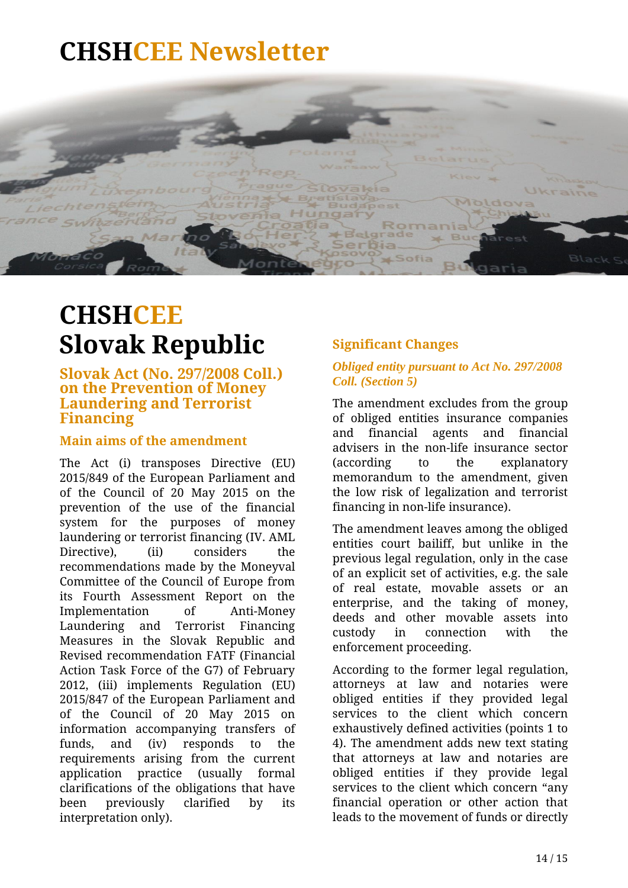

### <span id="page-13-0"></span>**CHSHCEE Slovak Republic**

**Slovak Act (No. 297/2008 Coll.) on the Prevention of Money Laundering and Terrorist Financing**

### **Main aims of the amendment**

The Act (i) transposes Directive (EU) 2015/849 of the European Parliament and of the Council of 20 May 2015 on the prevention of the use of the financial system for the purposes of money laundering or terrorist financing (IV. AML Directive), (ii) considers the recommendations made by the Moneyval Committee of the Council of Europe from its Fourth Assessment Report on the Implementation of Anti-Money Laundering and Terrorist Financing Measures in the Slovak Republic and Revised recommendation FATF (Financial Action Task Force of the G7) of February 2012, (iii) implements Regulation (EU) 2015/847 of the European Parliament and of the Council of 20 May 2015 on information accompanying transfers of funds, and (iv) responds to the requirements arising from the current application practice (usually formal clarifications of the obligations that have been previously clarified by its interpretation only).

### **Significant Changes**

#### *Obliged entity pursuant to Act No. 297/2008 Coll. (Section 5)*

The amendment excludes from the group of obliged entities insurance companies and financial agents and financial advisers in the non-life insurance sector (according to the explanatory memorandum to the amendment, given the low risk of legalization and terrorist financing in non-life insurance).

The amendment leaves among the obliged entities court bailiff, but unlike in the previous legal regulation, only in the case of an explicit set of activities, e.g. the sale of real estate, movable assets or an enterprise, and the taking of money, deeds and other movable assets into custody in connection with the enforcement proceeding.

According to the former legal regulation, attorneys at law and notaries were obliged entities if they provided legal services to the client which concern exhaustively defined activities (points 1 to 4). The amendment adds new text stating that attorneys at law and notaries are obliged entities if they provide legal services to the client which concern "any financial operation or other action that leads to the movement of funds or directly